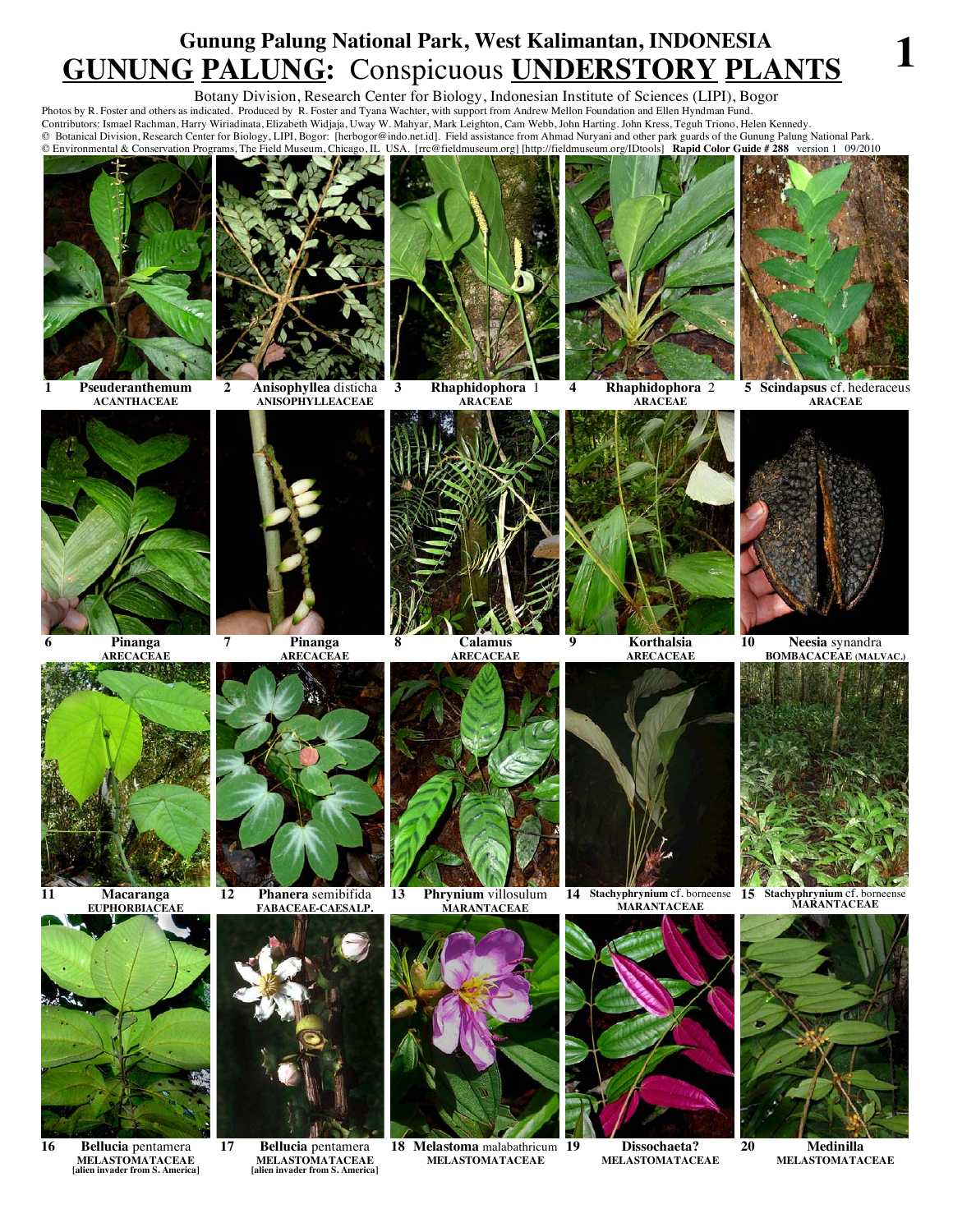## **Gunung Palung National Park, West Kalimantan, INDONESIA GUNUNG PALUNG:** Conspicuous **UNDERSTORY PLANTS 1**

Botany Division, Research Center for Biology, Indonesian Institute of Sciences (LIPI), Bogor

Photos by R. Foster and others as indicated. Produced by R. Foster and Tyana Wachter, with support from Andrew Mellon Foundation and Ellen Hyndman Fund. Contributors: Ismael Rachman, Harry Wiriadinata, Elizabeth Widjaja, Uway W. Mahyar, Mark Leighton, Cam Webb, John Harting. John Kress, Teguh Triono, Helen Kennedy. © Botanical Division, Research Center for Biology, LIPI, Bogor: [herbogor@indo.net.id]. Field assistance from Ahmad Nuryani and other park guards of the Gunung Palung National Park. © Environmental & Conservation Programs, The Field Museum, Chicago, IL USA. [rrc@fieldmuseum.org] [http://fieldmuseum.org/IDtools] **Rapid Color Guide # 288** version 1 09/2010



**1 Pseuderanthemum ACANTHACEAE**



**2 Anisophyllea** disticha **ANISOPHYLLEACEAE**



**3 Rhaphidophora** 1 **ARACEAE**



**4 Rhaphidophora** 2 **ARACEAE**



**5 Scindapsus** cf. hederaceus **ARACEAE**



**6 Pinanga ARECACEAE**



**11 Macaranga** 



**16 Bellucia** pentamera **MELASTOMATACEAE [alien invader from S. America]**



**7 Pinanga ARECACEAE**



**12 Phanera** semibifida **FABACEAE-CAESALP.**



**17 Bellucia** pentamera **MELASTOMATACEAE [alien invader from S. America]**



**8 Calamus ARECACEAE**



**13 Phrynium** villosulum **MARANTACEAE**



**18 Melastoma** malabathricum **MELASTOMATACEAE**



**9 Korthalsia** 



**14 Stachyphrynium** cf. borneense **15 Stachyphrynium** cf. borneense **MARANTACEAE MARANTACEAE**



**19 Dissochaeta? MELASTOMATACEAE**

**10 Neesia** synandra **BOMBACACEAE (MALVAC.)**





**20 Medinilla MELASTOMATACEAE**